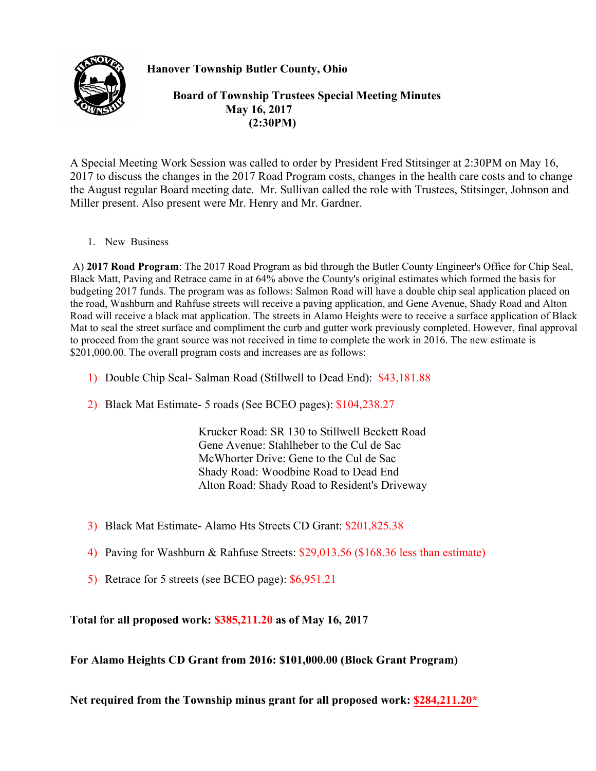

**Hanover Township Butler County, Ohio** 

 **Board of Township Trustees Special Meeting Minutes May 16, 2017 (2:30PM)** 

A Special Meeting Work Session was called to order by President Fred Stitsinger at 2:30PM on May 16, 2017 to discuss the changes in the 2017 Road Program costs, changes in the health care costs and to change the August regular Board meeting date. Mr. Sullivan called the role with Trustees, Stitsinger, Johnson and Miller present. Also present were Mr. Henry and Mr. Gardner.

1. New Business

 A) **2017 Road Program**: The 2017 Road Program as bid through the Butler County Engineer's Office for Chip Seal, Black Matt, Paving and Retrace came in at 64% above the County's original estimates which formed the basis for budgeting 2017 funds. The program was as follows: Salmon Road will have a double chip seal application placed on the road, Washburn and Rahfuse streets will receive a paving application, and Gene Avenue, Shady Road and Alton Road will receive a black mat application. The streets in Alamo Heights were to receive a surface application of Black Mat to seal the street surface and compliment the curb and gutter work previously completed. However, final approval to proceed from the grant source was not received in time to complete the work in 2016. The new estimate is \$201,000.00. The overall program costs and increases are as follows:

- 1) Double Chip Seal- Salman Road (Stillwell to Dead End): \$43,181.88
- 2) Black Mat Estimate- 5 roads (See BCEO pages): \$104,238.27

 Krucker Road: SR 130 to Stillwell Beckett Road Gene Avenue: Stahlheber to the Cul de Sac McWhorter Drive: Gene to the Cul de Sac Shady Road: Woodbine Road to Dead End Alton Road: Shady Road to Resident's Driveway

- 3) Black Mat Estimate- Alamo Hts Streets CD Grant: \$201,825.38
- 4) Paving for Washburn & Rahfuse Streets: \$29,013.56 (\$168.36 less than estimate)
- 5) Retrace for 5 streets (see BCEO page): \$6,951.21

## **Total for all proposed work: \$385,211.20 as of May 16, 2017**

**For Alamo Heights CD Grant from 2016: \$101,000.00 (Block Grant Program)** 

**Net required from the Township minus grant for all proposed work: \$284,211.20\***